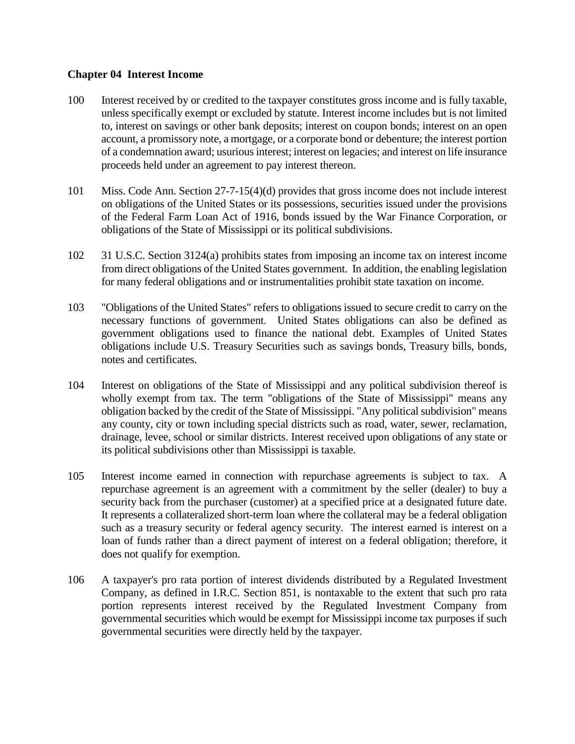## **Chapter 04 Interest Income**

- 100 Interest received by or credited to the taxpayer constitutes gross income and is fully taxable, unless specifically exempt or excluded by statute. Interest income includes but is not limited to, interest on savings or other bank deposits; interest on coupon bonds; interest on an open account, a promissory note, a mortgage, or a corporate bond or debenture; the interest portion of a condemnation award; usurious interest; interest on legacies; and interest on life insurance proceeds held under an agreement to pay interest thereon.
- 101 Miss. Code Ann. Section 27-7-15(4)(d) provides that gross income does not include interest on obligations of the United States or its possessions, securities issued under the provisions of the Federal Farm Loan Act of 1916, bonds issued by the War Finance Corporation, or obligations of the State of Mississippi or its political subdivisions.
- 102 31 U.S.C. Section 3124(a) prohibits states from imposing an income tax on interest income from direct obligations of the United States government. In addition, the enabling legislation for many federal obligations and or instrumentalities prohibit state taxation on income.
- 103 "Obligations of the United States" refers to obligations issued to secure credit to carry on the necessary functions of government. United States obligations can also be defined as government obligations used to finance the national debt. Examples of United States obligations include U.S. Treasury Securities such as savings bonds, Treasury bills, bonds, notes and certificates.
- 104 Interest on obligations of the State of Mississippi and any political subdivision thereof is wholly exempt from tax. The term "obligations of the State of Mississippi" means any obligation backed by the credit of the State of Mississippi. "Any political subdivision" means any county, city or town including special districts such as road, water, sewer, reclamation, drainage, levee, school or similar districts. Interest received upon obligations of any state or its political subdivisions other than Mississippi is taxable.
- 105 Interest income earned in connection with repurchase agreements is subject to tax. A repurchase agreement is an agreement with a commitment by the seller (dealer) to buy a security back from the purchaser (customer) at a specified price at a designated future date. It represents a collateralized short-term loan where the collateral may be a federal obligation such as a treasury security or federal agency security. The interest earned is interest on a loan of funds rather than a direct payment of interest on a federal obligation; therefore, it does not qualify for exemption.
- 106 A taxpayer's pro rata portion of interest dividends distributed by a Regulated Investment Company, as defined in I.R.C. Section 851, is nontaxable to the extent that such pro rata portion represents interest received by the Regulated Investment Company from governmental securities which would be exempt for Mississippi income tax purposes if such governmental securities were directly held by the taxpayer.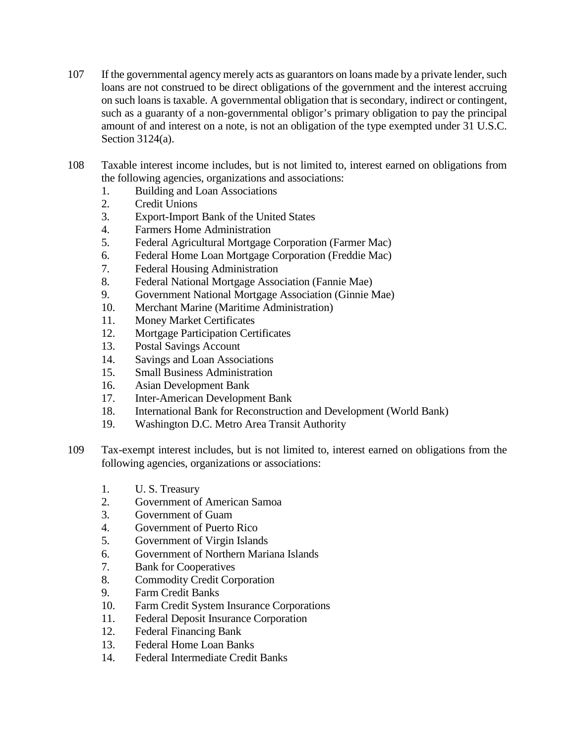- 107 If the governmental agency merely acts as guarantors on loans made by a private lender, such loans are not construed to be direct obligations of the government and the interest accruing on such loans is taxable. A governmental obligation that is secondary, indirect or contingent, such as a guaranty of a non-governmental obligor's primary obligation to pay the principal amount of and interest on a note, is not an obligation of the type exempted under 31 U.S.C. Section 3124(a).
- 108 Taxable interest income includes, but is not limited to, interest earned on obligations from the following agencies, organizations and associations:
	- 1. Building and Loan Associations
	- 2. Credit Unions
	- 3. Export-Import Bank of the United States
	- 4. Farmers Home Administration
	- 5. Federal Agricultural Mortgage Corporation (Farmer Mac)
	- 6. Federal Home Loan Mortgage Corporation (Freddie Mac)
	- 7. Federal Housing Administration
	- 8. Federal National Mortgage Association (Fannie Mae)
	- 9. Government National Mortgage Association (Ginnie Mae)
	- 10. Merchant Marine (Maritime Administration)
	- 11. Money Market Certificates
	- 12. Mortgage Participation Certificates
	- 13. Postal Savings Account
	- 14. Savings and Loan Associations
	- 15. Small Business Administration
	- 16. Asian Development Bank
	- 17. Inter-American Development Bank
	- 18. International Bank for Reconstruction and Development (World Bank)
	- 19. Washington D.C. Metro Area Transit Authority
- 109 Tax-exempt interest includes, but is not limited to, interest earned on obligations from the following agencies, organizations or associations:
	- 1. U. S. Treasury
	- 2. Government of American Samoa
	- 3. Government of Guam
	- 4. Government of Puerto Rico
	- 5. Government of Virgin Islands
	- 6. Government of Northern Mariana Islands
	- 7. Bank for Cooperatives
	- 8. Commodity Credit Corporation
	- 9. Farm Credit Banks
	- 10. Farm Credit System Insurance Corporations
	- 11. Federal Deposit Insurance Corporation
	- 12. Federal Financing Bank
	- 13. Federal Home Loan Banks
	- 14. Federal Intermediate Credit Banks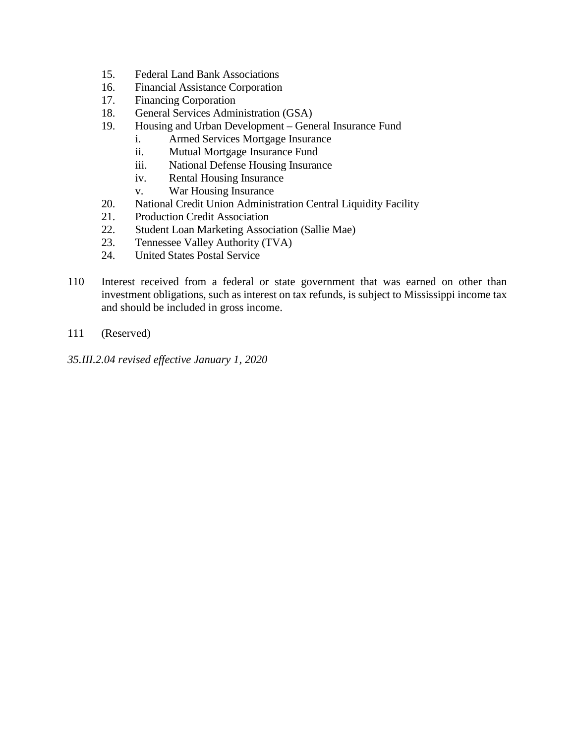- 15. Federal Land Bank Associations
- 16. Financial Assistance Corporation
- 17. Financing Corporation
- 18. General Services Administration (GSA)
- 19. Housing and Urban Development General Insurance Fund
	- i. Armed Services Mortgage Insurance
	- ii. Mutual Mortgage Insurance Fund
	- iii. National Defense Housing Insurance
	- iv. Rental Housing Insurance
	- v. War Housing Insurance
- 20. National Credit Union Administration Central Liquidity Facility
- 21. Production Credit Association
- 22. Student Loan Marketing Association (Sallie Mae)
- 23. Tennessee Valley Authority (TVA)
- 24. United States Postal Service
- 110 Interest received from a federal or state government that was earned on other than investment obligations, such as interest on tax refunds, is subject to Mississippi income tax and should be included in gross income.
- 111 (Reserved)

*35.III.2.04 revised effective January 1, 2020*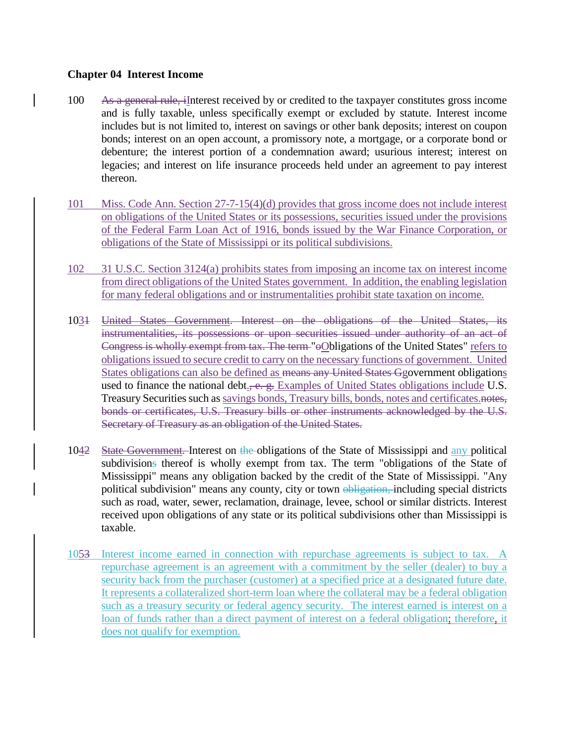## **Chapter 04 Interest Income**

- 100 As a general rule, iInterest received by or credited to the taxpayer constitutes gross income and is fully taxable, unless specifically exempt or excluded by statute. Interest income includes but is not limited to, interest on savings or other bank deposits; interest on coupon bonds; interest on an open account, a promissory note, a mortgage, or a corporate bond or debenture; the interest portion of a condemnation award; usurious interest; interest on legacies; and interest on life insurance proceeds held under an agreement to pay interest thereon.
- 101 Miss. Code Ann. Section 27-7-15(4)(d) provides that gross income does not include interest on obligations of the United States or its possessions, securities issued under the provisions of the Federal Farm Loan Act of 1916, bonds issued by the War Finance Corporation, or obligations of the State of Mississippi or its political subdivisions.
- 102 31 U.S.C. Section 3124(a) prohibits states from imposing an income tax on interest income from direct obligations of the United States government. In addition, the enabling legislation for many federal obligations and or instrumentalities prohibit state taxation on income.
- 1031 United States Government. Interest on the obligations of the United States, its instrumentalities, its possessions or upon securities issued under authority of an act of Congress is wholly exempt from tax. The term "oObligations of the United States" refers to obligations issued to secure credit to carry on the necessary functions of government. United States obligations can also be defined as means any United States Ggovernment obligations used to finance the national debt.,  $-e$ .  $g$ . Examples of United States obligations include U.S. Treasury Securities such as savings bonds, Treasury bills, bonds, notes and certificates.notes, bonds or certificates, U.S. Treasury bills or other instruments acknowledged by the U.S. Secretary of Treasury as an obligation of the United States.
- 1042 State Government. Interest on the obligations of the State of Mississippi and any political subdivisions thereof is wholly exempt from tax. The term "obligations of the State of Mississippi" means any obligation backed by the credit of the State of Mississippi. "Any political subdivision" means any county, city or town obligation, including special districts such as road, water, sewer, reclamation, drainage, levee, school or similar districts. Interest received upon obligations of any state or its political subdivisions other than Mississippi is taxable.
- 1053 Interest income earned in connection with repurchase agreements is subject to tax. A repurchase agreement is an agreement with a commitment by the seller (dealer) to buy a security back from the purchaser (customer) at a specified price at a designated future date. It represents a collateralized short-term loan where the collateral may be a federal obligation such as a treasury security or federal agency security. The interest earned is interest on a loan of funds rather than a direct payment of interest on a federal obligation; therefore, it does not qualify for exemption.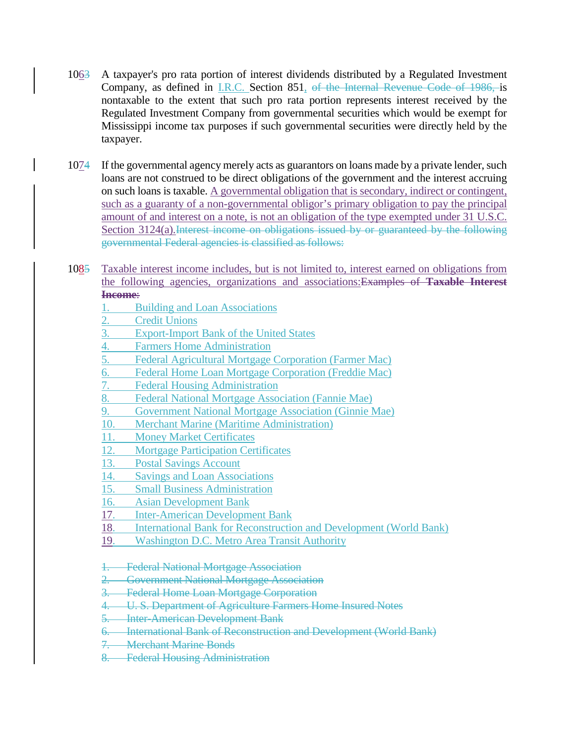- 1063 A taxpayer's pro rata portion of interest dividends distributed by a Regulated Investment Company, as defined in I.R.C. Section 851, of the Internal Revenue Code of 1986, is nontaxable to the extent that such pro rata portion represents interest received by the Regulated Investment Company from governmental securities which would be exempt for Mississippi income tax purposes if such governmental securities were directly held by the taxpayer.
- 1074 If the governmental agency merely acts as guarantors on loans made by a private lender, such loans are not construed to be direct obligations of the government and the interest accruing on such loans is taxable. A governmental obligation that is secondary, indirect or contingent, such as a guaranty of a non-governmental obligor's primary obligation to pay the principal amount of and interest on a note, is not an obligation of the type exempted under 31 U.S.C. Section 3124(a). Interest income on obligations issued by or guaranteed by the following governmental Federal agencies is classified as follows:
- 1085 Taxable interest income includes, but is not limited to, interest earned on obligations from the following agencies, organizations and associations:Examples of **Taxable Interest Income**:
	- 1. Building and Loan Associations
	- 2. Credit Unions
	- 3. Export-Import Bank of the United States
	- 4. Farmers Home Administration
	- 5. Federal Agricultural Mortgage Corporation (Farmer Mac)
	- 6. Federal Home Loan Mortgage Corporation (Freddie Mac)
	- 7. Federal Housing Administration
	- 8. Federal National Mortgage Association (Fannie Mae)
	- 9. Government National Mortgage Association (Ginnie Mae)
	- 10. Merchant Marine (Maritime Administration)
	- 11. Money Market Certificates
	- 12. Mortgage Participation Certificates
	- 13. Postal Savings Account
	- 14. Savings and Loan Associations
	- 15. Small Business Administration
	- 16. Asian Development Bank
	- 17. Inter-American Development Bank
	- 18. International Bank for Reconstruction and Development (World Bank)
	- 19. Washington D.C. Metro Area Transit Authority
	- 1. Federal National Mortgage Association
	- 2. Government National Mortgage Association
	- 3. Federal Home Loan Mortgage Corporation
	- 4. U. S. Department of Agriculture Farmers Home Insured Notes
	- 5. Inter-American Development Bank
	- 6. International Bank of Reconstruction and Development (World Bank)
	- 7. Merchant Marine Bonds
	- 8. Federal Housing Administration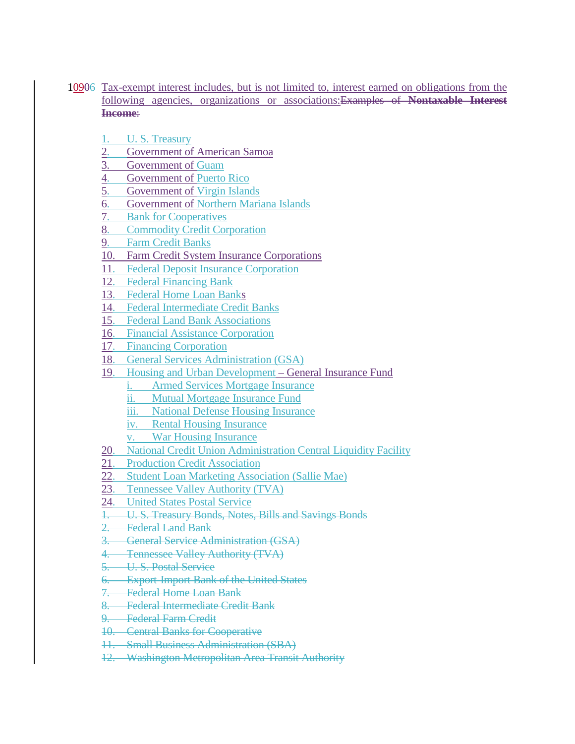- 10906 Tax-exempt interest includes, but is not limited to, interest earned on obligations from the following agencies, organizations or associations:Examples of **Nontaxable Interest Income**:
	- 1. U.S. Treasury
	- 2. Government of American Samoa
	- 3. Government of Guam
	- 4. Government of Puerto Rico
	- 5. Government of Virgin Islands
	- 6. Government of Northern Mariana Islands
	- 7. Bank for Cooperatives
	- 8. Commodity Credit Corporation
	- 9. Farm Credit Banks
	- 10. Farm Credit System Insurance Corporations
	- 11. Federal Deposit Insurance Corporation
	- 12. Federal Financing Bank
	- 13. Federal Home Loan Banks
	- 14. Federal Intermediate Credit Banks
	- 15. Federal Land Bank Associations
	- 16. Financial Assistance Corporation
	- 17. Financing Corporation
	- 18. General Services Administration (GSA)
	- 19. Housing and Urban Development General Insurance Fund
		- i. Armed Services Mortgage Insurance
		- ii. Mutual Mortgage Insurance Fund
		- iii. National Defense Housing Insurance
		- iv. Rental Housing Insurance
		- v. War Housing Insurance
	- 20. National Credit Union Administration Central Liquidity Facility
	- 21. Production Credit Association
	- 22. Student Loan Marketing Association (Sallie Mae)
	- 23. Tennessee Valley Authority (TVA)
	- 24. United States Postal Service
	- 1. U. S. Treasury Bonds, Notes, Bills and Savings Bonds
	- 2. Federal Land Bank
	- 3. General Service Administration (GSA)
	- 4. Tennessee Valley Authority (TVA)
	- 5. U. S. Postal Service
	- 6. Export-Import Bank of the United States
	- 7. Federal Home Loan Bank
	- 8. Federal Intermediate Credit Bank
	- 9. Federal Farm Credit
	- 10. Central Banks for Cooperative
	- 11. Small Business Administration (SBA)
	- 12. Washington Metropolitan Area Transit Authority